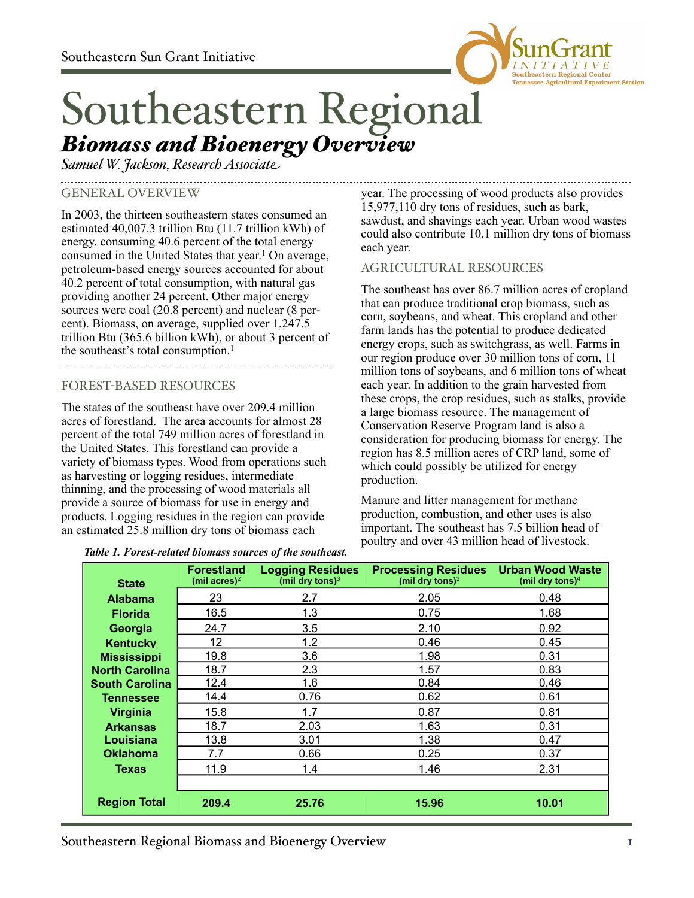

# Southeastern Regional *Biomass and Bioenergy Overview*

*Samuel W. Jackson, Research Associate*

### GENERAL OVERVIEW

In 2003, the thirteen southeastern states consumed an estimated 40,007.3 trillion Btu (11.7 trillion kWh) of energy, consuming 40.6 percent of the total energy consumed in the United States that year. 1 On average, petroleum-based energy sources accounted for about 40.2 percent of total consumption, with natural gas providing another 24 percent. Other major energy sources were coal (20.8 percent) and nuclear (8 percent). Biomass, on average, supplied over 1,247.5 trillion Btu (365.6 billion kWh), or about 3 percent of the southeast's total consumption.<sup>1</sup>

## FOREST-BASED RESOURCES

The states of the southeast have over 209.4 million acres of forestland. The area accounts for almost 28 percent of the total 749 million acres of forestland in the United States. This forestland can provide a variety of biomass types. Wood from operations such as harvesting or logging residues, intermediate thinning, and the processing of wood materials all provide a source of biomass for use in energy and products. Logging residues in the region can provide an estimated 25.8 million dry tons of biomass each

year. The processing of wood products also provides 15,977,110 dry tons of residues, such as bark, sawdust, and shavings each year. Urban wood wastes could also contribute 10.1 million dry tons of biomass each year.

#### AGRICULTURAL RESOURCES

The southeast has over 86.7 million acres of cropland that can produce traditional crop biomass, such as corn, soybeans, and wheat. This cropland and other farm lands has the potential to produce dedicated energy crops, such as switchgrass, as well. Farms in our region produce over 30 million tons of corn, 11 million tons of soybeans, and 6 million tons of wheat each year. In addition to the grain harvested from these crops, the crop residues, such as stalks, provide a large biomass resource. The management of Conservation Reserve Program land is also a consideration for producing biomass for energy. The region has 8.5 million acres of CRP land, some of which could possibly be utilized for energy production.

Manure and litter management for methane production, combustion, and other uses is also important. The southeast has 7.5 billion head of poultry and over 43 million head of livestock.

| <b>State</b>          | <b>Forestland</b><br>(mil acres) <sup>2</sup> | <b>Logging Residues</b><br>(mil dry tons) $3$ | <b>Processing Residues</b><br>(mil dry tons) $3$ | <b>Urban Wood Waste</b><br>(mil dry tons) $4$ |  |
|-----------------------|-----------------------------------------------|-----------------------------------------------|--------------------------------------------------|-----------------------------------------------|--|
| <b>Alabama</b>        | 23                                            | 2.7                                           | 2.05                                             | 0.48                                          |  |
| <b>Florida</b>        | 16.5                                          | 1.3                                           | 0.75                                             | 1.68                                          |  |
| Georgia               | 24.7                                          | 3.5                                           | 2.10                                             | 0.92                                          |  |
| <b>Kentucky</b>       | 12                                            | 1.2                                           | 0.46                                             | 0.45                                          |  |
| <b>Mississippi</b>    | 19.8                                          | 3.6                                           | 1.98                                             | 0.31                                          |  |
| <b>North Carolina</b> | 18.7                                          | 2.3                                           | 1.57                                             | 0.83                                          |  |
| <b>South Carolina</b> | 12.4                                          | 1.6                                           | 0.84                                             | 0.46                                          |  |
| Tennessee             | 14.4                                          | 0.76                                          | 0.62                                             | 0.61                                          |  |
| Virginia              | 15.8                                          | 1.7                                           | 0.87                                             | 0.81                                          |  |
| <b>Arkansas</b>       | 18.7                                          | 2.03                                          | 1.63                                             | 0.31                                          |  |
| Louisiana             | 13.8                                          | 3.01                                          | 1.38                                             | 0.47                                          |  |
| <b>Oklahoma</b>       | 7.7                                           | 0.66                                          | 0.25                                             | 0.37                                          |  |
| <b>Texas</b>          | 11.9                                          | 1.4                                           | 1.46                                             | 2.31                                          |  |
|                       |                                               |                                               |                                                  |                                               |  |
| <b>Region Total</b>   | 209.4                                         | 25.76                                         | 15.96                                            | 10.01                                         |  |

#### *Table 1. Forest-related biomass sources of the southeast.*

Southeastern Regional Biomass and Bioenergy Overview 1